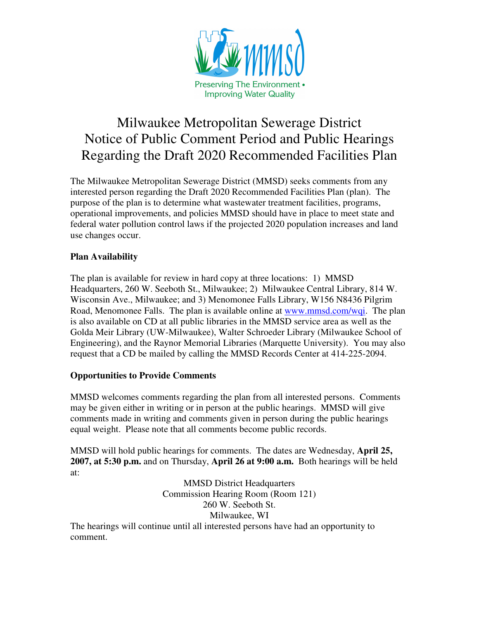

## Milwaukee Metropolitan Sewerage District Notice of Public Comment Period and Public Hearings Regarding the Draft 2020 Recommended Facilities Plan

The Milwaukee Metropolitan Sewerage District (MMSD) seeks comments from any interested person regarding the Draft 2020 Recommended Facilities Plan (plan). The purpose of the plan is to determine what wastewater treatment facilities, programs, operational improvements, and policies MMSD should have in place to meet state and federal water pollution control laws if the projected 2020 population increases and land use changes occur.

## **Plan Availability**

comment.

The plan is available for review in hard copy at three locations: 1) MMSD Headquarters, 260 W. Seeboth St., Milwaukee; 2) Milwaukee Central Library, 814 W. Wisconsin Ave., Milwaukee; and 3) Menomonee Falls Library, W156 N8436 Pilgrim Road, Menomonee Falls. The plan is available online at www.mmsd.com/wqi. The plan is also available on CD at all public libraries in the MMSD service area as well as the Golda Meir Library (UW-Milwaukee), Walter Schroeder Library (Milwaukee School of Engineering), and the Raynor Memorial Libraries (Marquette University). You may also request that a CD be mailed by calling the MMSD Records Center at 414-225-2094.

## **Opportunities to Provide Comments**

MMSD welcomes comments regarding the plan from all interested persons. Comments may be given either in writing or in person at the public hearings. MMSD will give comments made in writing and comments given in person during the public hearings equal weight. Please note that all comments become public records.

MMSD will hold public hearings for comments. The dates are Wednesday, **April 25, 2007, at 5:30 p.m.** and on Thursday, **April 26 at 9:00 a.m.** Both hearings will be held at:

MMSD District Headquarters Commission Hearing Room (Room 121) 260 W. Seeboth St. Milwaukee, WI The hearings will continue until all interested persons have had an opportunity to